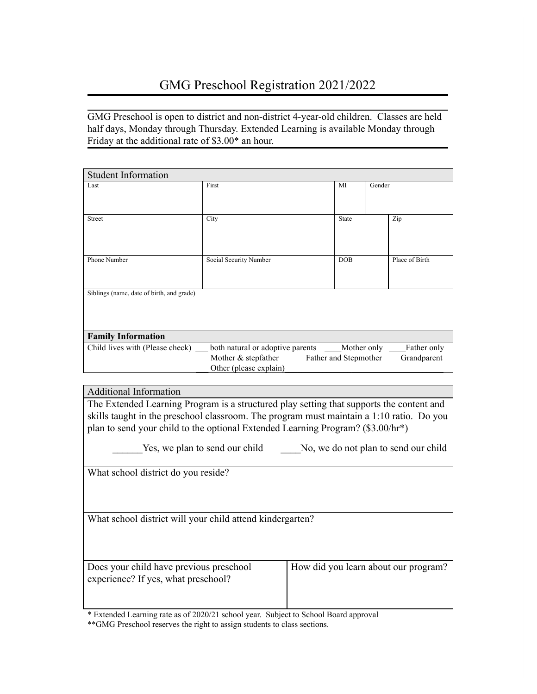GMG Preschool is open to district and non-district 4-year-old children. Classes are held half days, Monday through Thursday. Extended Learning is available Monday through Friday at the additional rate of \$3.00\* an hour.

| <b>Student Information</b>                |                                           |              |                |
|-------------------------------------------|-------------------------------------------|--------------|----------------|
| Last                                      | First                                     | MI           | Gender         |
|                                           |                                           |              |                |
|                                           |                                           |              |                |
| <b>Street</b>                             | City                                      | <b>State</b> | Zip            |
|                                           |                                           |              |                |
|                                           |                                           |              |                |
|                                           |                                           |              |                |
| Phone Number                              | Social Security Number                    | <b>DOB</b>   | Place of Birth |
|                                           |                                           |              |                |
|                                           |                                           |              |                |
| Siblings (name, date of birth, and grade) |                                           |              |                |
|                                           |                                           |              |                |
|                                           |                                           |              |                |
|                                           |                                           |              |                |
| <b>Family Information</b>                 |                                           |              |                |
| Child lives with (Please check)           |                                           | Mother only  | Father only    |
|                                           | Mother & stepfather Father and Stepmother |              | Grandparent    |
|                                           | Other (please explain)                    |              |                |
|                                           |                                           |              |                |

Additional Information The Extended Learning Program is a structured play setting that supports the content and skills taught in the preschool classroom. The program must maintain a 1:10 ratio. Do you plan to send your child to the optional Extended Learning Program? (\$3.00/hr\*)

Yes, we plan to send our child No, we do not plan to send our child

What school district do you reside?

What school district will your child attend kindergarten?

Does your child have previous preschool experience? If yes, what preschool?

\* Extended Learning rate as of 2020/21 school year. Subject to School Board approval

\*\*GMG Preschool reserves the right to assign students to class sections.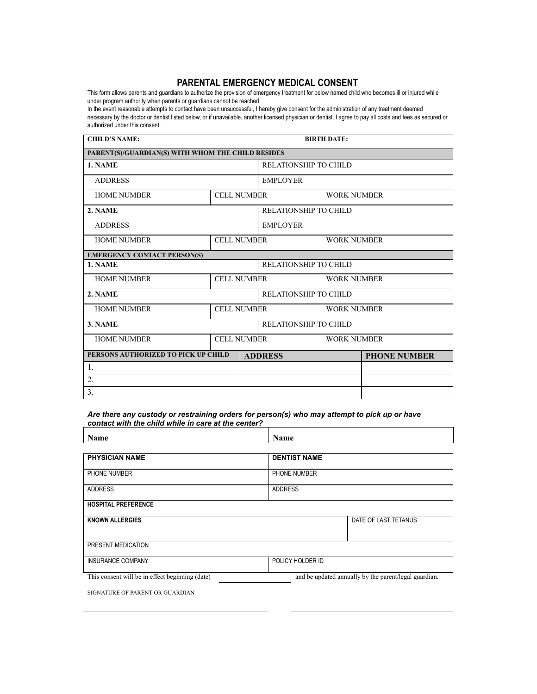### **PARENTAL EMERGENCY MEDICAL CONSENT**

This form allows parents and guardians to authorize the provision of emergency treatment for below named child who becomes ill or injured while under program authority when parents or guardians cannot be reached.

In the event reasonable attempts to contact have been unsuccessful, I hereby give consent for the administration of any treatment deemed necessary by the doctor or dentist listed below, or if unavailable, another licensed physician or dentist. I agree to pay all costs and fees as secured or authorized under this consent.

| <b>CHILD'S NAME:</b>                              | <b>BIRTH DATE:</b> |                                          |                              |                       |  |  |
|---------------------------------------------------|--------------------|------------------------------------------|------------------------------|-----------------------|--|--|
| PARENT(S)/GUARDIAN(S) WITH WHOM THE CHILD RESIDES |                    |                                          |                              |                       |  |  |
| 1. NAME                                           |                    |                                          | <b>RELATIONSHIP TO CHILD</b> |                       |  |  |
| <b>ADDRESS</b>                                    |                    |                                          | <b>EMPLOYER</b>              |                       |  |  |
| <b>HOME NUMBER</b>                                | <b>CELL NUMBER</b> |                                          | <b>WORK NUMBER</b>           |                       |  |  |
| 2. NAME                                           |                    |                                          | <b>RELATIONSHIP TO CHILD</b> |                       |  |  |
| <b>ADDRESS</b>                                    | <b>EMPLOYER</b>    |                                          |                              |                       |  |  |
| <b>HOME NUMBER</b>                                |                    | <b>CELL NUMBER</b><br><b>WORK NUMBER</b> |                              |                       |  |  |
| <b>EMERGENCY CONTACT PERSON(S)</b>                |                    |                                          |                              |                       |  |  |
| 1. NAME                                           |                    |                                          |                              | RELATIONSHIP TO CHILD |  |  |
| <b>HOME NUMBER</b>                                | <b>CELL NUMBER</b> |                                          |                              | <b>WORK NUMBER</b>    |  |  |
| 2. NAME                                           |                    |                                          | RELATIONSHIP TO CHILD        |                       |  |  |
| <b>HOME NUMBER</b>                                | <b>CELL NUMBER</b> |                                          | <b>WORK NUMBER</b>           |                       |  |  |
| 3. NAME                                           |                    |                                          | <b>RELATIONSHIP TO CHILD</b> |                       |  |  |
| <b>HOME NUMBER</b>                                |                    | <b>CELL NUMBER</b><br><b>WORK NUMBER</b> |                              |                       |  |  |
| PERSONS AUTHORIZED TO PICK UP CHILD               |                    | <b>ADDRESS</b>                           |                              | <b>PHONE NUMBER</b>   |  |  |
| $\mathbf{1}$ .                                    |                    |                                          |                              |                       |  |  |
| 2.                                                |                    |                                          |                              |                       |  |  |
| 3.                                                |                    |                                          |                              |                       |  |  |

*Are there any custody or restraining orders for person(s) who may attempt to pick up or have contact with the child while in care at the center?* 

| <b>Name</b>                                     | Name                                                  |
|-------------------------------------------------|-------------------------------------------------------|
|                                                 |                                                       |
| <b>PHYSICIAN NAME</b>                           | <b>DENTIST NAME</b>                                   |
| PHONE NUMBER                                    | PHONE NUMBER                                          |
| <b>ADDRESS</b>                                  | <b>ADDRESS</b>                                        |
| <b>HOSPITAL PREFERENCE</b>                      |                                                       |
| <b>KNOWN ALLERGIES</b>                          | DATE OF LAST TETANUS                                  |
|                                                 |                                                       |
| PRESENT MEDICATION                              |                                                       |
| <b>INSURANCE COMPANY</b>                        | POLICY HOLDER ID                                      |
| This consent will be in effect beginning (date) | and be updated annually by the parent/legal guardian. |

SIGNATURE OF PARENT OR GUARDIAN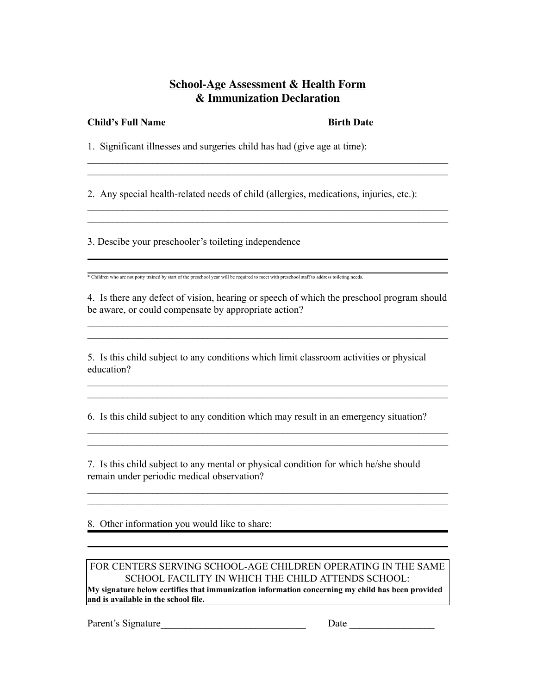# **School-Age Assessment & Health Form & Immunization Declaration**

 $\_$  , and the contribution of the contribution of  $\mathcal{L}_\mathcal{A}$  , and the contribution of  $\mathcal{L}_\mathcal{A}$  $\mathcal{L}_\text{max} = \mathcal{L}_\text{max} = \mathcal{L}_\text{max} = \mathcal{L}_\text{max} = \mathcal{L}_\text{max} = \mathcal{L}_\text{max} = \mathcal{L}_\text{max} = \mathcal{L}_\text{max} = \mathcal{L}_\text{max} = \mathcal{L}_\text{max} = \mathcal{L}_\text{max} = \mathcal{L}_\text{max} = \mathcal{L}_\text{max} = \mathcal{L}_\text{max} = \mathcal{L}_\text{max} = \mathcal{L}_\text{max} = \mathcal{L}_\text{max} = \mathcal{L}_\text{max} = \mathcal{$ 

 $\_$  , and the contribution of the contribution of  $\mathcal{L}_\mathcal{A}$  , and the contribution of  $\mathcal{L}_\mathcal{A}$  $\_$  , and the contribution of the contribution of  $\mathcal{L}_\mathcal{A}$  , and the contribution of  $\mathcal{L}_\mathcal{A}$ 

### **Child's Full Name** Birth Date

1. Significant illnesses and surgeries child has had (give age at time):

2. Any special health-related needs of child (allergies, medications, injuries, etc.):

3. Descibe your preschooler's toileting independence

\* Children who are not potty trained by start of the preschool year will be required to meet with preschool staff to address toileting needs.

4. Is there any defect of vision, hearing or speech of which the preschool program should be aware, or could compensate by appropriate action?

 $\mathcal{L}_\text{max} = \mathcal{L}_\text{max} = \mathcal{L}_\text{max} = \mathcal{L}_\text{max} = \mathcal{L}_\text{max} = \mathcal{L}_\text{max} = \mathcal{L}_\text{max} = \mathcal{L}_\text{max} = \mathcal{L}_\text{max} = \mathcal{L}_\text{max} = \mathcal{L}_\text{max} = \mathcal{L}_\text{max} = \mathcal{L}_\text{max} = \mathcal{L}_\text{max} = \mathcal{L}_\text{max} = \mathcal{L}_\text{max} = \mathcal{L}_\text{max} = \mathcal{L}_\text{max} = \mathcal{$  $\mathcal{L}_\text{max} = \mathcal{L}_\text{max} = \mathcal{L}_\text{max} = \mathcal{L}_\text{max} = \mathcal{L}_\text{max} = \mathcal{L}_\text{max} = \mathcal{L}_\text{max} = \mathcal{L}_\text{max} = \mathcal{L}_\text{max} = \mathcal{L}_\text{max} = \mathcal{L}_\text{max} = \mathcal{L}_\text{max} = \mathcal{L}_\text{max} = \mathcal{L}_\text{max} = \mathcal{L}_\text{max} = \mathcal{L}_\text{max} = \mathcal{L}_\text{max} = \mathcal{L}_\text{max} = \mathcal{$ 

 $\mathcal{L}_\text{max} = \mathcal{L}_\text{max} = \mathcal{L}_\text{max} = \mathcal{L}_\text{max} = \mathcal{L}_\text{max} = \mathcal{L}_\text{max} = \mathcal{L}_\text{max} = \mathcal{L}_\text{max} = \mathcal{L}_\text{max} = \mathcal{L}_\text{max} = \mathcal{L}_\text{max} = \mathcal{L}_\text{max} = \mathcal{L}_\text{max} = \mathcal{L}_\text{max} = \mathcal{L}_\text{max} = \mathcal{L}_\text{max} = \mathcal{L}_\text{max} = \mathcal{L}_\text{max} = \mathcal{$  $\mathcal{L}_\text{max} = \mathcal{L}_\text{max} = \mathcal{L}_\text{max} = \mathcal{L}_\text{max} = \mathcal{L}_\text{max} = \mathcal{L}_\text{max} = \mathcal{L}_\text{max} = \mathcal{L}_\text{max} = \mathcal{L}_\text{max} = \mathcal{L}_\text{max} = \mathcal{L}_\text{max} = \mathcal{L}_\text{max} = \mathcal{L}_\text{max} = \mathcal{L}_\text{max} = \mathcal{L}_\text{max} = \mathcal{L}_\text{max} = \mathcal{L}_\text{max} = \mathcal{L}_\text{max} = \mathcal{$ 

 $\mathcal{L}_\text{max} = \mathcal{L}_\text{max} = \mathcal{L}_\text{max} = \mathcal{L}_\text{max} = \mathcal{L}_\text{max} = \mathcal{L}_\text{max} = \mathcal{L}_\text{max} = \mathcal{L}_\text{max} = \mathcal{L}_\text{max} = \mathcal{L}_\text{max} = \mathcal{L}_\text{max} = \mathcal{L}_\text{max} = \mathcal{L}_\text{max} = \mathcal{L}_\text{max} = \mathcal{L}_\text{max} = \mathcal{L}_\text{max} = \mathcal{L}_\text{max} = \mathcal{L}_\text{max} = \mathcal{$  $\mathcal{L}_\text{max} = \mathcal{L}_\text{max} = \mathcal{L}_\text{max} = \mathcal{L}_\text{max} = \mathcal{L}_\text{max} = \mathcal{L}_\text{max} = \mathcal{L}_\text{max} = \mathcal{L}_\text{max} = \mathcal{L}_\text{max} = \mathcal{L}_\text{max} = \mathcal{L}_\text{max} = \mathcal{L}_\text{max} = \mathcal{L}_\text{max} = \mathcal{L}_\text{max} = \mathcal{L}_\text{max} = \mathcal{L}_\text{max} = \mathcal{L}_\text{max} = \mathcal{L}_\text{max} = \mathcal{$ 

 $\mathcal{L}_\text{max} = \mathcal{L}_\text{max} = \mathcal{L}_\text{max} = \mathcal{L}_\text{max} = \mathcal{L}_\text{max} = \mathcal{L}_\text{max} = \mathcal{L}_\text{max} = \mathcal{L}_\text{max} = \mathcal{L}_\text{max} = \mathcal{L}_\text{max} = \mathcal{L}_\text{max} = \mathcal{L}_\text{max} = \mathcal{L}_\text{max} = \mathcal{L}_\text{max} = \mathcal{L}_\text{max} = \mathcal{L}_\text{max} = \mathcal{L}_\text{max} = \mathcal{L}_\text{max} = \mathcal{$  $\mathcal{L}_\text{max} = \mathcal{L}_\text{max} = \mathcal{L}_\text{max} = \mathcal{L}_\text{max} = \mathcal{L}_\text{max} = \mathcal{L}_\text{max} = \mathcal{L}_\text{max} = \mathcal{L}_\text{max} = \mathcal{L}_\text{max} = \mathcal{L}_\text{max} = \mathcal{L}_\text{max} = \mathcal{L}_\text{max} = \mathcal{L}_\text{max} = \mathcal{L}_\text{max} = \mathcal{L}_\text{max} = \mathcal{L}_\text{max} = \mathcal{L}_\text{max} = \mathcal{L}_\text{max} = \mathcal{$ 

5. Is this child subject to any conditions which limit classroom activities or physical education?

6. Is this child subject to any condition which may result in an emergency situation?

7. Is this child subject to any mental or physical condition for which he/she should remain under periodic medical observation?

8. Other information you would like to share:

### FOR CENTERS SERVING SCHOOL-AGE CHILDREN OPERATING IN THE SAME SCHOOL FACILITY IN WHICH THE CHILD ATTENDS SCHOOL:

**My signature below certifies that immunization information concerning my child has been provided and is available in the school file.**

Parent's Signature\_\_\_\_\_\_\_\_\_\_\_\_\_\_\_\_\_\_\_\_\_\_\_\_\_\_\_\_\_ Date \_\_\_\_\_\_\_\_\_\_\_\_\_\_\_\_\_